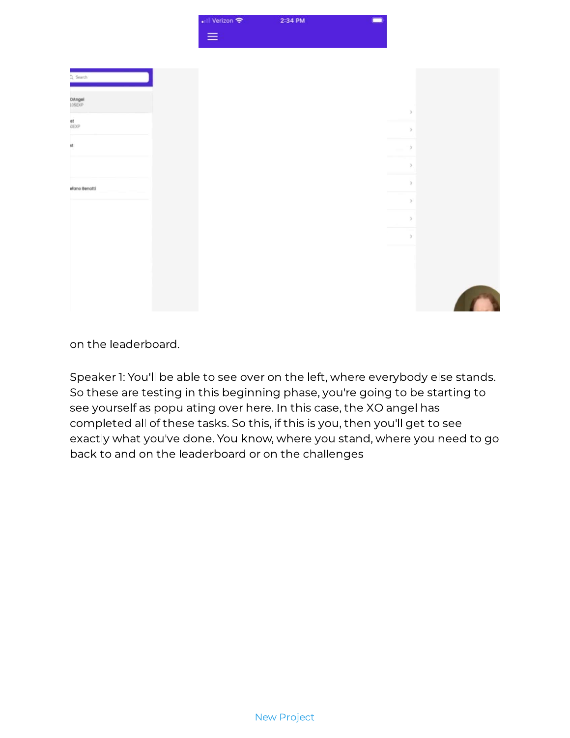## New Project



Speaker 1: You'll be able to see over on the left, where everybody else stands. So these are testing in this beginning phase, you're going to be starting to see yourself as populating over here. In this case, the XO angel has completed all of these tasks. So this, if this is you, then you'll get to see exactly what you've done. You know, where you stand, where you need to go back to and on the leaderboard or on the challenges Speaker 1: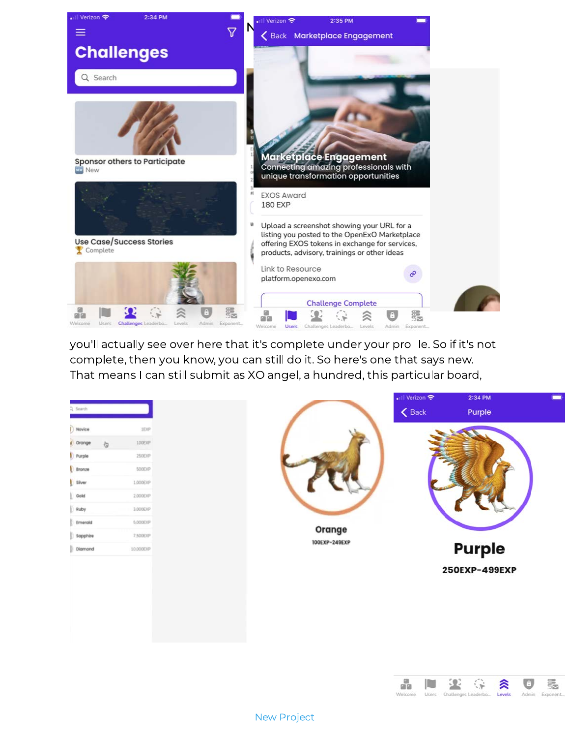

you'll actually see over here that it's complete under your pro le. So if it's not complete, then you know, you can still do it. So here's one that says new. That means I can still submit as XO angel, a hundred, this particular board,

| 100EXP<br>$\sigma$<br>250EXP<br>Bronze<br>500EXP<br>1,000EXP<br>Silver<br>Gold<br>2,000EXP<br>Ruby<br>3,000EXP<br>5,000EXP<br>Emerald<br>Orange<br>7,500EXP<br>Sapphire<br>100EXP-249EXP<br><b>Purple</b><br>Diamond<br>10,000EXP<br>250EXP-499EXP | 2. Search<br>Novice | 1EXP |  | • Il Verizon କ<br>$\langle$ Back | 2:34 PM<br>Purple |  |
|----------------------------------------------------------------------------------------------------------------------------------------------------------------------------------------------------------------------------------------------------|---------------------|------|--|----------------------------------|-------------------|--|
|                                                                                                                                                                                                                                                    | crange<br>Purple    |      |  |                                  |                   |  |
|                                                                                                                                                                                                                                                    |                     |      |  |                                  |                   |  |
|                                                                                                                                                                                                                                                    |                     |      |  |                                  |                   |  |
|                                                                                                                                                                                                                                                    |                     |      |  |                                  |                   |  |
|                                                                                                                                                                                                                                                    |                     |      |  |                                  |                   |  |

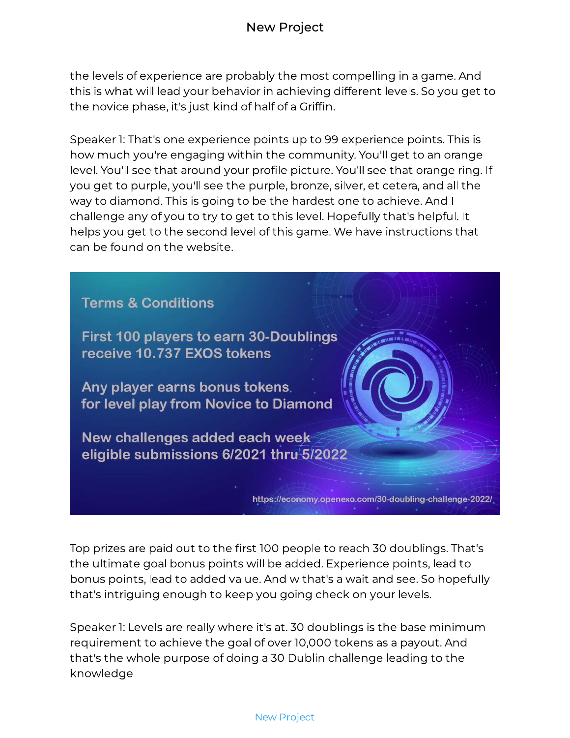the levels of experience are probably the most compelling in a game. And<br>this is what will lead your behavior in achieving different levels. So you get to this is what will lead your behavior in achieving different levels. So you get to the novice phase, it's just kind of half of a Griffin.<br>'

Speaker 1: That's one experience points up to 99 experience points. This is how much you're engaging within the community. You'll get to an orange level. You'll see that around your profile picture. You'll see that orange ring. If you get to purple, you'll see the purple, bronze, silver, et cetera, and all the way to diamond. This is going to be the hardest one to achieve. And I way to diamond. The to going to be the hardest one to achieve. And I challenge any of you to try to get to this level. Hopefully that's helpful. It helps you get to the second level of this game. We have instructions that<br>can be found on the website. Speaker 1:



Top prizes are paid out to the first 100 people to reach 30 doublings. That's<br>the ultimate goal bonus points will be added. Experience points, lead to the ultimate goal bonus points will be added. Experience points, lead to bonus points, lead to added value. And w that's a wait and see. So hopefully<br>that's intriquing anough to keep vou geing cheek en vous levels that's intriguing enough to keep you going check on your levels.

Speaker 1: Levels are really where it's at. 30 doublings is the base minimum requirement to achieve the goal of original of over 2000 to a payout. And that's the whole purpose of doing a 30 Dublin challenge leading to the<br>Irnouledae knowledge requirement to achieve the goal of over 10,000 tokens as a payout. And

## [New Project](https://designrr.s3.amazonaws.com/_/29497427324bf3492944b30fca88b7f900f0ef7b9fe180c9bacbd973ab1e3112)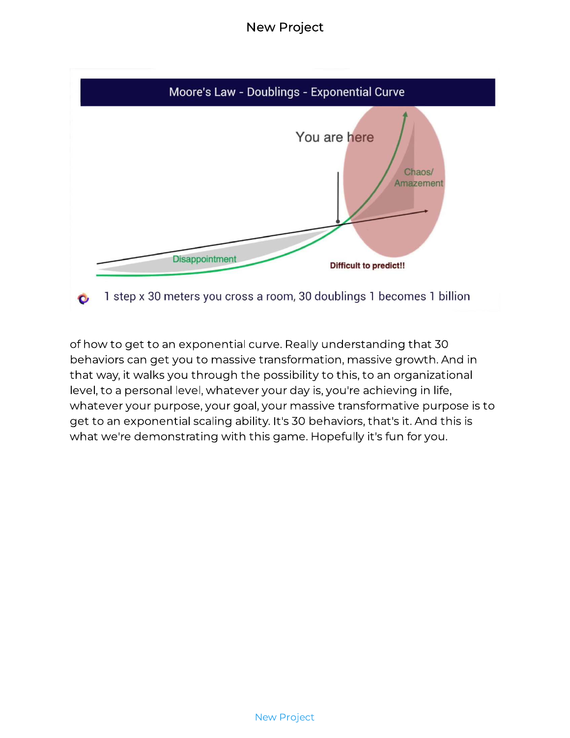## New Project



of how to get to an exponential curve. Really understanding that 30<br>behaviors can get you to massive transformation, massive growth. And in that way, it walks you through the possibility to this, to an organizational that way, it walks you through the possibility to this, to an organizational level, to a personal level, whatever your day is, you're achieving in life, where you purpose, your goal, your massive transformative purpose is to get to an exponential scaling ability. It's 30 behaviors, that's it. And this is<br>what we're demonstrating with this game. Henefully it's fun fervou what we're demonstrating with this game. Hopefully it's fun for you.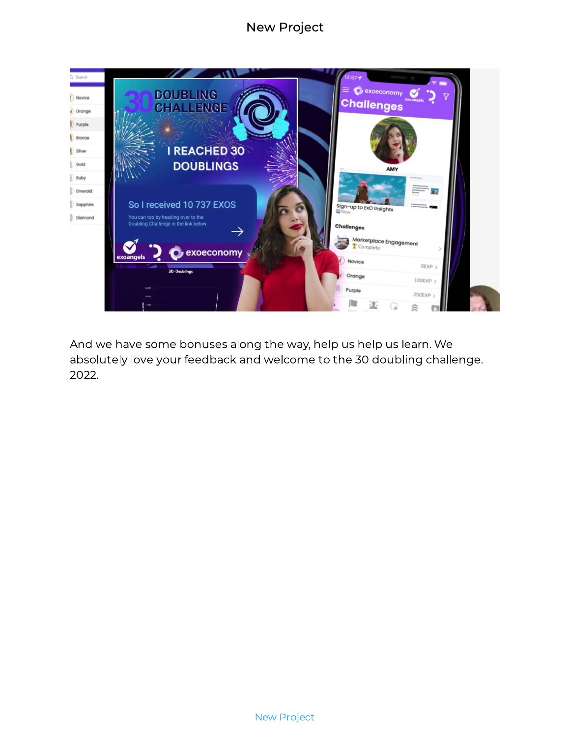## New Project



And we have some bonuses along the way, help us help us learn. We absolutely love your feedback and welcome to the 30 doubling challenge.